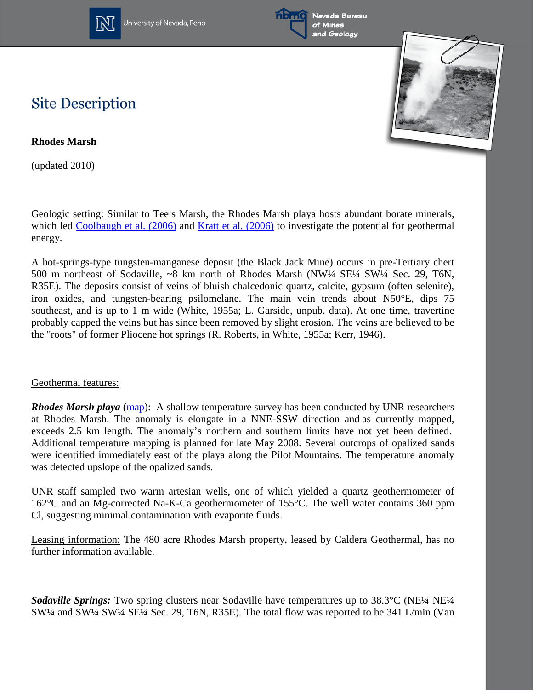

University of Nevada, Reno





## **Site Description**

**Rhodes Marsh** 

(updated 2010)

Geologic setting: Similar to Teels Marsh, the Rhodes Marsh playa hosts abundant borate minerals, which led [Coolbaugh et al. \(2006\)](http://www.unr.edu/geothermal/pdffiles/Coolbaugh06QuaternaryBorates.pdf) and [Kratt et al. \(2006\)](http://www.unr.edu/geothermal/pdffiles/Kratt06RemoteBorate.pdf) to investigate the potential for geothermal energy.

A hot-springs-type tungsten-manganese deposit (the Black Jack Mine) occurs in pre-Tertiary chert 500 m northeast of Sodaville, ~8 km north of Rhodes Marsh (NW¼ SE¼ SW¼ Sec. 29, T6N, R35E). The deposits consist of veins of bluish chalcedonic quartz, calcite, gypsum (often selenite), iron oxides, and tungsten-bearing psilomelane. The main vein trends about N50°E, dips 75 southeast, and is up to 1 m wide (White, 1955a; L. Garside, unpub. data). At one time, travertine probably capped the veins but has since been removed by slight erosion. The veins are believed to be the "roots" of former Pliocene hot springs (R. Roberts, in White, 1955a; Kerr, 1946).

## Geothermal features:

*Rhodes Marsh playa* [\(map\)](http://www.unr.edu/geothermal/images/rhodes_big.jpg): A shallow temperature survey has been conducted by UNR researchers at Rhodes Marsh. The anomaly is elongate in a NNE-SSW direction and as currently mapped, exceeds 2.5 km length. The anomaly's northern and southern limits have not yet been defined. Additional temperature mapping is planned for late May 2008. Several outcrops of opalized sands were identified immediately east of the playa along the Pilot Mountains. The temperature anomaly was detected upslope of the opalized sands.

UNR staff sampled two warm artesian wells, one of which yielded a quartz geothermometer of 162°C and an Mg-corrected Na-K-Ca geothermometer of 155°C. The well water contains 360 ppm Cl, suggesting minimal contamination with evaporite fluids.

Leasing information: The 480 acre Rhodes Marsh property, leased by Caldera Geothermal, has no further information available.

*Sodaville Springs:* Two spring clusters near Sodaville have temperatures up to 38.3°C (NE¼ NE¼ SW¼ and SW¼ SW¼ SE¼ Sec. 29, T6N, R35E). The total flow was reported to be 341 L/min (Van